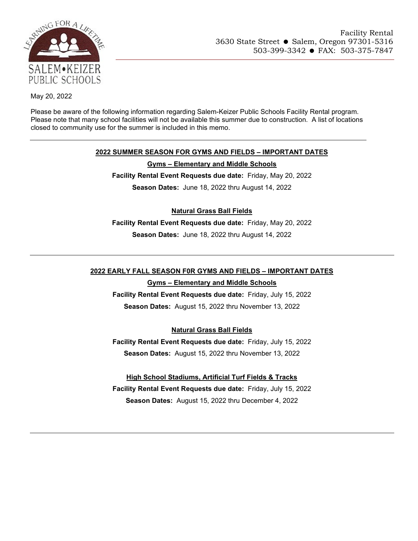

May 20, 2022

Please be aware of the following information regarding Salem-Keizer Public Schools Facility Rental program. Please note that many school facilities will not be available this summer due to construction. A list of locations closed to community use for the summer is included in this memo.

# **2022 SUMMER SEASON FOR GYMS AND FIELDS – IMPORTANT DATES**

#### **Gyms – Elementary and Middle Schools**

**Facility Rental Event Requests due date:** Friday, May 20, 2022 **Season Dates:** June 18, 2022 thru August 14, 2022

# **Natural Grass Ball Fields**

**Facility Rental Event Requests due date:** Friday, May 20, 2022 **Season Dates:** June 18, 2022 thru August 14, 2022

# **2022 EARLY FALL SEASON F0R GYMS AND FIELDS – IMPORTANT DATES**

## **Gyms – Elementary and Middle Schools**

**Facility Rental Event Requests due date:** Friday, July 15, 2022 **Season Dates:** August 15, 2022 thru November 13, 2022

# **Natural Grass Ball Fields**

**Facility Rental Event Requests due date:** Friday, July 15, 2022 **Season Dates:** August 15, 2022 thru November 13, 2022

**High School Stadiums, Artificial Turf Fields & Tracks Facility Rental Event Requests due date:** Friday, July 15, 2022 **Season Dates:** August 15, 2022 thru December 4, 2022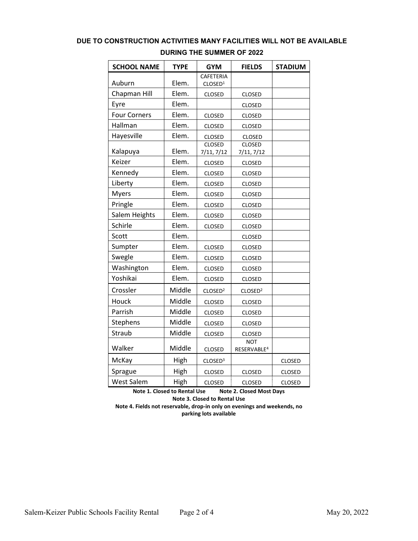# **DUE TO CONSTRUCTION ACTIVITIES MANY FACILITIES WILL NOT BE AVAILABLE**

| <b>SCHOOL NAME</b>  | <b>TYPE</b> | <b>GYM</b>                  | <b>FIELDS</b>                         | <b>STADIUM</b> |
|---------------------|-------------|-----------------------------|---------------------------------------|----------------|
|                     |             | CAFETERIA                   |                                       |                |
| Auburn              | Elem.       | CLOSED <sup>1</sup>         |                                       |                |
| Chapman Hill        | Elem.       | <b>CLOSED</b>               | <b>CLOSED</b>                         |                |
| Eyre                | Elem.       |                             | <b>CLOSED</b>                         |                |
| <b>Four Corners</b> | Elem.       | <b>CLOSED</b>               | CLOSED                                |                |
| Hallman             | Elem.       | <b>CLOSED</b>               | <b>CLOSED</b>                         |                |
| Hayesville          | Elem.       | <b>CLOSED</b>               | <b>CLOSED</b>                         |                |
| Kalapuya            | Elem.       | <b>CLOSED</b><br>7/11, 7/12 | <b>CLOSED</b><br>7/11, 7/12           |                |
| Keizer              | Elem.       | CLOSED                      | <b>CLOSED</b>                         |                |
| Kennedy             | Elem.       | <b>CLOSED</b>               | <b>CLOSED</b>                         |                |
| Liberty             | Elem.       | <b>CLOSED</b>               | CLOSED                                |                |
| <b>Myers</b>        | Elem.       | <b>CLOSED</b>               | <b>CLOSED</b>                         |                |
| Pringle             | Elem.       | <b>CLOSED</b>               | <b>CLOSED</b>                         |                |
| Salem Heights       | Elem.       | CLOSED                      | <b>CLOSED</b>                         |                |
| Schirle             | Elem.       | CLOSED                      | <b>CLOSED</b>                         |                |
| Scott               | Elem.       |                             | <b>CLOSED</b>                         |                |
| Sumpter             | Elem.       | <b>CLOSED</b>               | <b>CLOSED</b>                         |                |
| Swegle              | Elem.       | <b>CLOSED</b>               | <b>CLOSED</b>                         |                |
| Washington          | Elem.       | CLOSED                      | <b>CLOSED</b>                         |                |
| Yoshikai            | Elem.       | <b>CLOSED</b>               | CLOSED                                |                |
| Crossler            | Middle      | CLOSED <sup>2</sup>         | CLOSED <sup>2</sup>                   |                |
| Houck               | Middle      | CLOSED                      | <b>CLOSED</b>                         |                |
| Parrish             | Middle      | CLOSED                      | CLOSED                                |                |
| Stephens            | Middle      | <b>CLOSED</b>               | <b>CLOSED</b>                         |                |
| Straub              | Middle      | <b>CLOSED</b>               | <b>CLOSED</b>                         |                |
| Walker              | Middle      | <b>CLOSED</b>               | <b>NOT</b><br>RESERVABLE <sup>4</sup> |                |
| McKay               | High        | CLOSED <sup>3</sup>         |                                       | <b>CLOSED</b>  |
| Sprague             | High        | <b>CLOSED</b>               | <b>CLOSED</b>                         | <b>CLOSED</b>  |
| <b>West Salem</b>   | High        | <b>CLOSED</b>               | <b>CLOSED</b>                         | <b>CLOSED</b>  |

#### **DURING THE SUMMER OF 2022**

**Note 1. Closed to Rental Use Note 2. Closed Most Days Note 3. Closed to Rental Use Note 4. Fields not reservable, drop-in only on evenings and weekends, no parking lots available**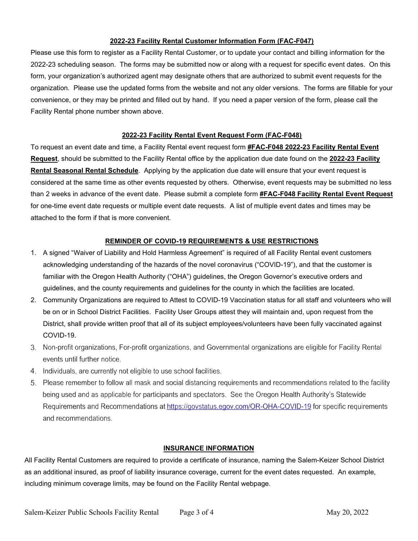#### **2022-23 Facility Rental Customer Information Form (FAC-F047)**

Please use this form to register as a Facility Rental Customer, or to update your contact and billing information for the 2022-23 scheduling season. The forms may be submitted now or along with a request for specific event dates. On this form, your organization's authorized agent may designate others that are authorized to submit event requests for the organization. Please use the updated forms from the website and not any older versions. The forms are fillable for your convenience, or they may be printed and filled out by hand. If you need a paper version of the form, please call the Facility Rental phone number shown above.

#### **2022-23 Facility Rental Event Request Form (FAC-F048)**

To request an event date and time, a Facility Rental event request form **#FAC-F048 2022-23 Facility Rental Event Request**, should be submitted to the Facility Rental office by the application due date found on the **2022-23 Facility Rental Seasonal Rental Schedule**. Applying by the application due date will ensure that your event request is considered at the same time as other events requested by others. Otherwise, event requests may be submitted no less than 2 weeks in advance of the event date. Please submit a complete form **#FAC-F048 Facility Rental Event Request** for one-time event date requests or multiple event date requests. A list of multiple event dates and times may be attached to the form if that is more convenient.

#### **REMINDER OF COVID-19 REQUIREMENTS & USE RESTRICTIONS**

- 1. A signed "Waiver of Liability and Hold Harmless Agreement" is required of all Facility Rental event customers acknowledging understanding of the hazards of the novel coronavirus ("COVID-19"), and that the customer is familiar with the Oregon Health Authority ("OHA") guidelines, the Oregon Governor's executive orders and guidelines, and the county requirements and guidelines for the county in which the facilities are located.
- 2. Community Organizations are required to Attest to COVID-19 Vaccination status for all staff and volunteers who will be on or in School District Facilities. Facility User Groups attest they will maintain and, upon request from the District, shall provide written proof that all of its subject employees/volunteers have been fully vaccinated against COVID-19.
- 3. Non-profit organizations, For-profit organizations, and Governmental organizations are eligible for Facility Rental events until further notice.
- 4. Individuals, are currently not eligible to use school facilities.
- 5. Please remember to follow all mask and social distancing requirements and recommendations related to the facility being used and as applicable for participants and spectators. See the Oregon Health Authority's Statewide Requirements and Recommendations at https://govstatus.egov.com/OR-OHA-COVID-19 for specific requirements and recommendations.

#### **INSURANCE INFORMATION**

All Facility Rental Customers are required to provide a certificate of insurance, naming the Salem-Keizer School District as an additional insured, as proof of liability insurance coverage, current for the event dates requested. An example, including minimum coverage limits, may be found on the Facility Rental webpage.